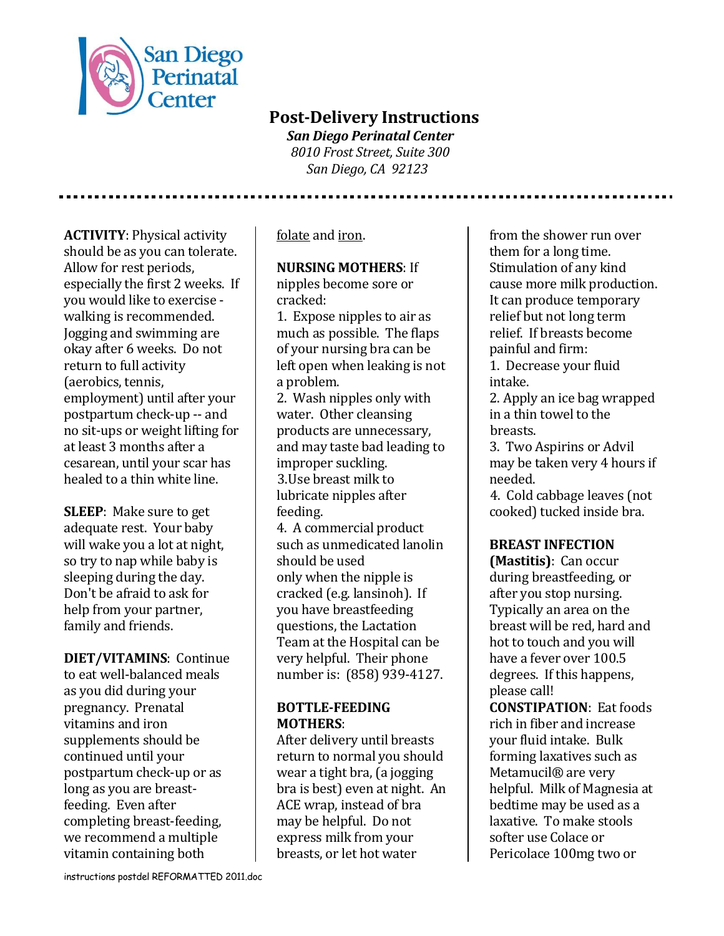

# **Post-Delivery Instructions**

 *San Diego Perinatal Center 8010 Frost Street, Suite 300 San Diego, CA 92123*

**ACTIVITY**: Physical activity should be as you can tolerate. Allow for rest periods, especially the first 2 weeks. If you would like to exercise walking is recommended. Jogging and swimming are okay after 6 weeks. Do not return to full activity (aerobics, tennis, employment) until after your postpartum check-up -- and no sit-ups or weight lifting for at least 3 months after a cesarean, until your scar has healed to a thin white line.

**SLEEP**: Make sure to get adequate rest. Your baby will wake you a lot at night, so try to nap while baby is sleeping during the day. Don't be afraid to ask for help from your partner, family and friends.

**DIET/VITAMINS**: Continue to eat well-balanced meals as you did during your pregnancy. Prenatal vitamins and iron supplements should be continued until your postpartum check-up or as long as you are breastfeeding. Even after completing breast-feeding, we recommend a multiple vitamin containing both

folate and iron.

#### **NURSING MOTHERS**: If

nipples become sore or cracked:

1. Expose nipples to air as much as possible. The flaps of your nursing bra can be left open when leaking is not a problem.

2. Wash nipples only with water. Other cleansing products are unnecessary, and may taste bad leading to improper suckling. 3.Use breast milk to lubricate nipples after feeding.

4. A commercial product such as unmedicated lanolin should be used only when the nipple is cracked (e.g. lansinoh). If you have breastfeeding questions, the Lactation Team at the Hospital can be very helpful. Their phone number is: (858) 939-4127.

#### **BOTTLE-FEEDING MOTHERS**:

After delivery until breasts return to normal you should wear a tight bra, (a jogging bra is best) even at night. An ACE wrap, instead of bra may be helpful. Do not express milk from your breasts, or let hot water

from the shower run over them for a long time. Stimulation of any kind cause more milk production. It can produce temporary relief but not long term relief. If breasts become painful and firm:

1. Decrease your fluid intake.

2. Apply an ice bag wrapped in a thin towel to the breasts.

3. Two Aspirins or Advil may be taken very 4 hours if needed.

4. Cold cabbage leaves (not cooked) tucked inside bra.

# **BREAST INFECTION**

**(Mastitis)**: Can occur during breastfeeding, or after you stop nursing. Typically an area on the breast will be red, hard and hot to touch and you will have a fever over 100.5 degrees. If this happens, please call!

**CONSTIPATION**: Eat foods rich in fiber and increase your fluid intake. Bulk forming laxatives such as Metamucil® are very helpful. Milk of Magnesia at bedtime may be used as a laxative. To make stools softer use Colace or Pericolace 100mg two or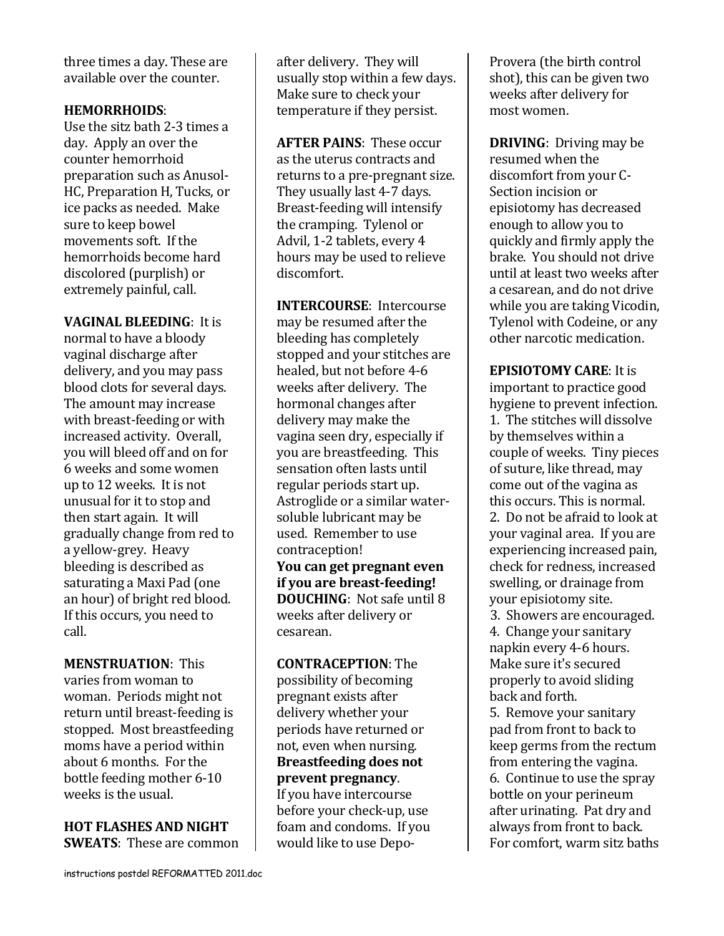three times a day. These are available over the counter.

#### **HEMORRHOIDS**:

Use the sitz bath 2-3 times a day. Apply an over the counter hemorrhoid preparation such as Anusol-HC, Preparation H, Tucks, or ice packs as needed. Make sure to keep bowel movements soft. If the hemorrhoids become hard discolored (purplish) or extremely painful, call.

**VAGINAL BLEEDING**: It is normal to have a bloody vaginal discharge after delivery, and you may pass blood clots for several days. The amount may increase with breast-feeding or with increased activity. Overall, you will bleed off and on for 6 weeks and some women up to 12 weeks. It is not unusual for it to stop and then start again. It will gradually change from red to a yellow-grey. Heavy bleeding is described as saturating a Maxi Pad (one an hour) of bright red blood. If this occurs, you need to call.

**MENSTRUATION**: This varies from woman to woman. Periods might not return until breast-feeding is stopped. Most breastfeeding moms have a period within about 6 months. For the bottle feeding mother 6-10 weeks is the usual.

**HOT FLASHES AND NIGHT SWEATS**: These are common after delivery. They will usually stop within a few days. Make sure to check your temperature if they persist.

**AFTER PAINS**: These occur as the uterus contracts and returns to a pre-pregnant size. They usually last 4-7 days. Breast-feeding will intensify the cramping. Tylenol or Advil, 1-2 tablets, every 4 hours may be used to relieve discomfort.

**INTERCOURSE**: Intercourse may be resumed after the bleeding has completely stopped and your stitches are healed, but not before 4-6 weeks after delivery. The hormonal changes after delivery may make the vagina seen dry, especially if you are breastfeeding. This sensation often lasts until regular periods start up. Astroglide or a similar watersoluble lubricant may be used. Remember to use contraception! **You can get pregnant even if you are breast-feeding! DOUCHING**: Not safe until 8 weeks after delivery or cesarean.

#### **CONTRACEPTION**: The

possibility of becoming pregnant exists after delivery whether your periods have returned or not, even when nursing. **Breastfeeding does not prevent pregnancy**. If you have intercourse

before your check-up, use foam and condoms. If you would like to use DepoProvera (the birth control shot), this can be given two weeks after delivery for most women.

**DRIVING**: Driving may be resumed when the discomfort from your C-Section incision or episiotomy has decreased enough to allow you to quickly and firmly apply the brake. You should not drive until at least two weeks after a cesarean, and do not drive while you are taking Vicodin, Tylenol with Codeine, or any other narcotic medication.

**EPISIOTOMY CARE**: It is important to practice good hygiene to prevent infection. 1. The stitches will dissolve by themselves within a couple of weeks. Tiny pieces of suture, like thread, may come out of the vagina as this occurs. This is normal. 2. Do not be afraid to look at your vaginal area. If you are experiencing increased pain, check for redness, increased swelling, or drainage from your episiotomy site. 3. Showers are encouraged. 4. Change your sanitary napkin every 4-6 hours. Make sure it's secured properly to avoid sliding back and forth.

5. Remove your sanitary pad from front to back to keep germs from the rectum from entering the vagina. 6. Continue to use the spray bottle on your perineum after urinating. Pat dry and always from front to back. For comfort, warm sitz baths